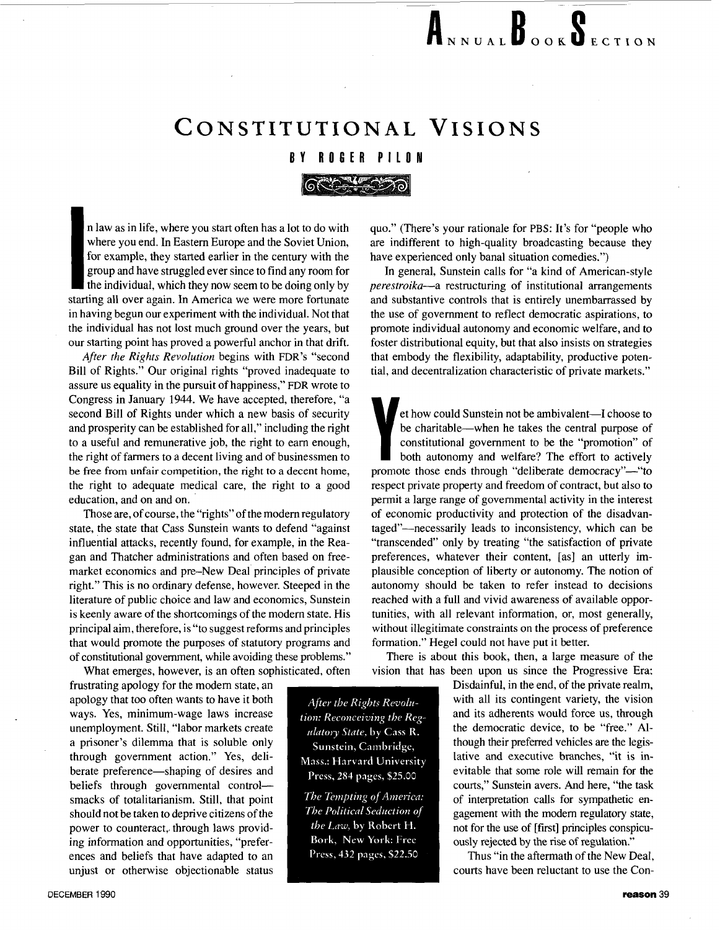## **CONSTITUTIONAL VISIONS**

## **BY ROGER PILON**

n law as in life, where you start often has a lot to do with where you end. In Eastern Europe and the Soviet Union, for example, they started earlier in the century with the group and have struggled ever since to find any room for the individual, which they now seem to be doing only by starting all over again. In America we were more fortunate in having begun our experiment with the individual. Not that the individual has not lost much ground over the years, but our starting point has proved a powerful anchor in that drift.

After the Rights Revolution begins with **FDR's** "second Bill of Rights." Our original rights "proved inadequate to assure us equality in the pursuit of happiness," **FDR** wrote to Congress in January 1944. We have accepted, therefore, "a second Bill of Rights under which a new basis of security and prosperity can be established for all," including the right to a useful and remunerative job, the right to earn enough, the right of farmers to a decent living and of businessmen to be free from **unfair** competition, the right to a decent home, the right to adequate medical care, the right to a good education, and on and on.

Those are, of course, the "rights" of the modem regulatory state, the state that Cass Sunstein wants to defend "against influential attacks, recently found, for example, in the Reagan and Thatcher administrations and often based on freemarket economics and pre-New Deal principles of private right." This is no ordinary defense, however. Steeped in the literature of public choice and law and economics, Sunstein is keenly aware of the shortcomings of the modem state. His principal aim, therefore, is "to suggest reforms and principles that would promote the purposes of statutory programs and of constitutional government, while avoiding these problems."

What emerges, however, is an often sophisticated, often frustrating apology for the modem state, an apology that too often wants to have it both ways. Yes, minimum-wage laws increase unemployment. Still, "labor markets create a prisoner's dilemma that is soluble only through government action." Yes, deliberate preference—shaping of desires and beliefs through governmental controlsmacks of totalitarianism. Still, that point should not be taken to deprive citizens of the power to counteract, through laws providing information and opportunities, "preferences and beliefs that have adapted to an unjust or otherwise objectionable status

quo." (There's your rationale for PBS: It's for "people who are indifferent to high-quality broadcasting because they have experienced only banal situation comedies.")

In general, Sunstein calls for "a kind of American-style perestroika-a restructuring of institutional arrangements and substantive controls that is entirely unembarrassed by the use of government to reflect democratic aspirations, to promote individual autonomy and economic welfare, and to foster distributional equity, but that also insists on strategies that embody the flexibility, adaptability, productive potential, and decentralization characteristic of private markets."

et how could Sunstein not be ambivalent-I choose to be charitable—when he takes the central purpose of constitutional government to be the "promotion" of both autonomy and welfare? The effort to actively promote those ends through "deliberate democracy"-"to respect private property and freedom of contract, but also to permit a large range of governmental activity in the interest of economic productivity and protection of the disadvantaged"-necessarily leads to inconsistency, which can be "transcended" only by treating "the satisfaction of private preferences, whatever their content, [as] an utterly implausible conception of liberty or autonomy. The notion of autonomy should be taken to refer instead to decisions reached with a full and vivid awareness of available opportunities, with all relevant information, or, most generally, without illegitimate constraints on the process of preference formation." Hegel could not have put it better.

There is about this book, then, a large measure of the vision that has been upon us since the Progressive Era:

> Disdainful, in the end, of the private realm, with all its contingent variety, the vision and its adherents would force us, through the democratic device, to be "free." Although their preferred vehicles are the legislative and executive branches, "it is inevitable that some role will remain for the courts," Sunstein avers. And here, "the task of interpretation calls for sympathetic engagement with the modem regulatory state, not for the use of [first] principles conspicuously rejected by the rise of regulation."

Thus "in the aftermath of the New Deal, courts have been reluctant to use the Con-

After the Rights Revolution: Reconceiving the Regulatory State, by Cass R. Sunstein, Cambridge, Mass.: Harvard University Press, 284 pages, \$25.00

The Tempting of America: The Political Seduction of the Law, by Robert H. Bork, New York: Free Press, 432 pages, \$22.50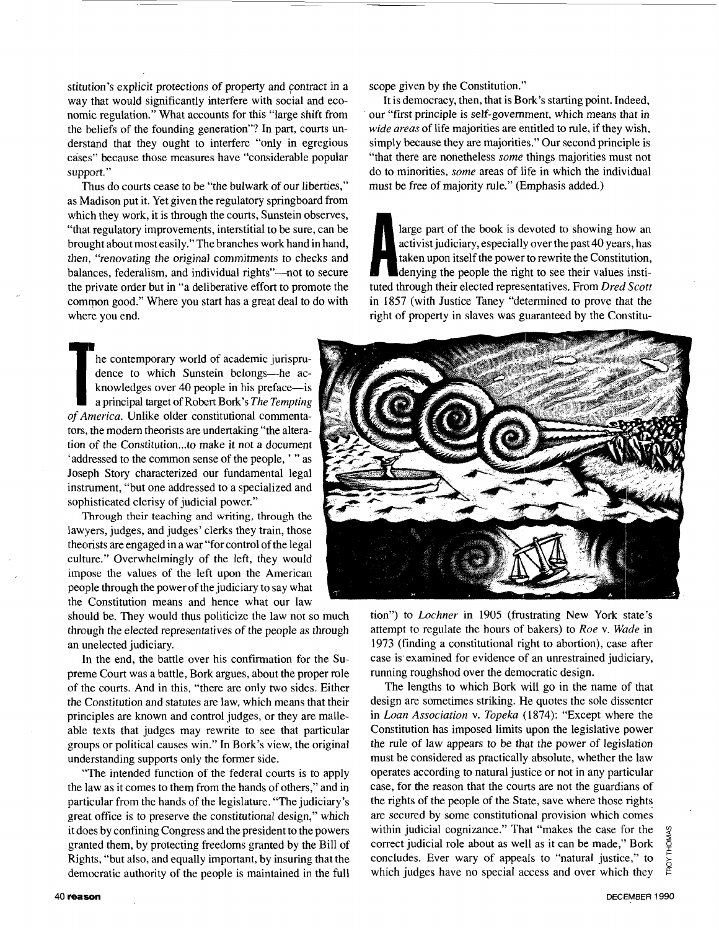stitution's explicit protections of property and contract in a way that would significantly interfere with social and economic regulation." What accounts for this "large shift from the beliefs of the founding generation"? In part, courts understand that they ought to interfere "only in egregious cases" because those measures have "considerable popular support."

Thus do courts cease to be "the bulwark of our liberties," as Madison put it. Yet given the regulatory springboard from which they work, it is through the courts, Sunstein observes, "that regulatory improvements, interstitial to be sure, can be brought about most easily."The branches work hand in hand, then, "renovating the original commitments to checks and balances, federalism, and individual rights"—not to secure the private order but in "a deliberative effort to promote the common good." Where you start has a great deal to do with where you end.

he contemporary world of academic jurisprudence to which Sunstein belongs—he ac-<br> **The** *R* knowledges over 40 people in his preface—is<br>
a principal target of Robert Bork's *The Tempting of America.* Unlike older constitutional commentators, the modern theorists are undertaking "the alteration of the Constitution ... to make it not a document 'addressed to the common sense of the people, ' " as Joseph Story characterized our fundamental legal instrument, "but one addressed to a specialized and sophisticated clerisy of judicial power."

Through their teaching and writing, through the lawyers, judges, and judges' clerks they train, those theorists are engaged in a war "for control of the legal culture." Overwhelmingly of the left, they would impose the values of the left upon the American people through the power of the judiciary to say what the Constitution means and hence what our law

should be. They would thus politicize the law not so much through the elected representatives of the people as through an unelected judiciary.

In the end, the battle over his confirmation for the Supreme Court was a battle, Bork argues, about the proper role of the courts. And in this, "there are only two sides. Either the Constitution and statutes are law, which means that their principles are known and control judges, or they are malleable texts that judges may rewrite to see that particular groups or political causes win." In Bork's view, the original understanding supports only the former side.

"The intended function of the federal courts is to apply the law as it comes to them from the hands of others," and in particular from the hands of the legislature. "The judiciary's great office is to preserve the constitutional design," which it does by confining Congress and the president to the powers granted them, by protecting freedoms granted by the Bill of Rights, "but also, and equally important, by insuring that the dernocratic authority of the people is maintained in the full scope given by the Constitution."

It is democracy, then, that is Bork's starting point. Indeed, our "first principle is self-government, which means that in *wide areas* of life majorities are entitled to rule, if they wish, simply because they are majorities." Our second principle is "that there are nonetheless *some* things majorities must not do to minorities, *some* areas of life in which the individual must be free of majority rule." (Emphasis added.)

large part of the book is devoted to showing how an activist judiciary, especially over the past 40 years, has activist judiciary, especially over the past 40 years, has taken upon itself the power to rewrite the Constitution, denying the people the right to see their values institution tuted through their elected representatives. From *Dred Scott* in 1857 (with Justice Taney "determined to prove that the right of property in slaves was guaranteed by the Constitu-



tion") to *Lochner* in 1905 (frustrating New York state's attempt to regulate the hours of bakers) to *Roe* v. *Wude* in 1973 (finding a constitutional right to abortion), case after case is examined for evidence of an unrestrained judiciary, running roughshod over the democratic design.

The lengths to which Bork will go in the name of that design are sometimes striking. He quotes the sole dissenter in *Loan Association* v. *Topeka* (1874): "Except where the Constitution has imposed limits upon the legislative power the rule of law appears *to* be that the power of legislation must be considered as practically absolute, whether the law operates according to natural justice or not in any particular case, for the reason that the courts are not the guardians of the rights of the people of the State, save where those rights are secured by some constitutional provision which comes within judicial cognizance." That "makes the case for the correct judicial role about as well as it can be made," Bork concludes. Ever wary of appeals to "natural justice," to which judges have no special access and over which they

THOMAS TROY